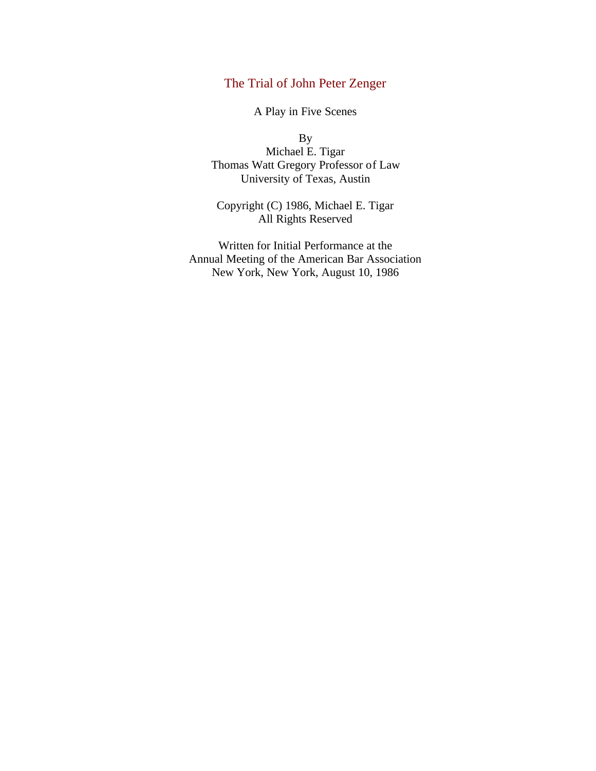# The Trial of John Peter Zenger

A Play in Five Scenes

By Michael E. Tigar Thomas Watt Gregory Professor of Law University of Texas, Austin

Copyright (C) 1986, Michael E. Tigar All Rights Reserved

Written for Initial Performance at the Annual Meeting of the American Bar Association New York, New York, August 10, 1986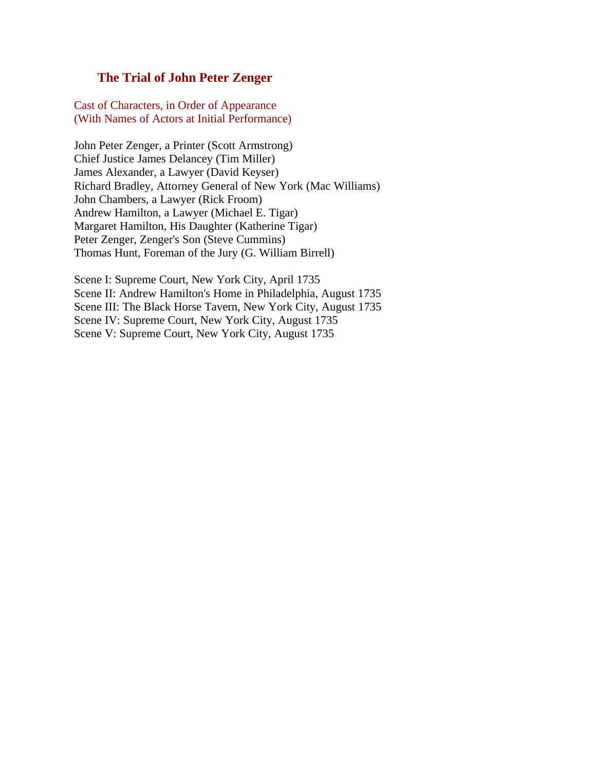## **The Trial of John Peter Zenger**

Cast of Characters, in Order of Appearance (With Names of Actors at Initial Performance)

John Peter Zenger, a Printer (Scott Armstrong) Chief Justice James Delancey (Tim Miller) James Alexander, a Lawyer (David Keyser) Richard Bradley, Attorney General of New York (Mac Williams) John Chambers, a Lawyer (Rick Froom) Andrew Hamilton, a Lawyer (Michael E. Tigar) Margaret Hamilton, His Daughter (Katherine Tigar) Peter Zenger, Zenger's Son (Steve Cummins) Thomas Hunt, Foreman of the Jury (G. William Birrell)

Scene I: Supreme Court, New York City, April 1735 Scene II: Andrew Hamilton's Home in Philadelphia, August 1735 Scene III: The Black Horse Tavern, New York City, August 1735 Scene IV: Supreme Court, New York City, August 1735 Scene V: Supreme Court, New York City, August 1735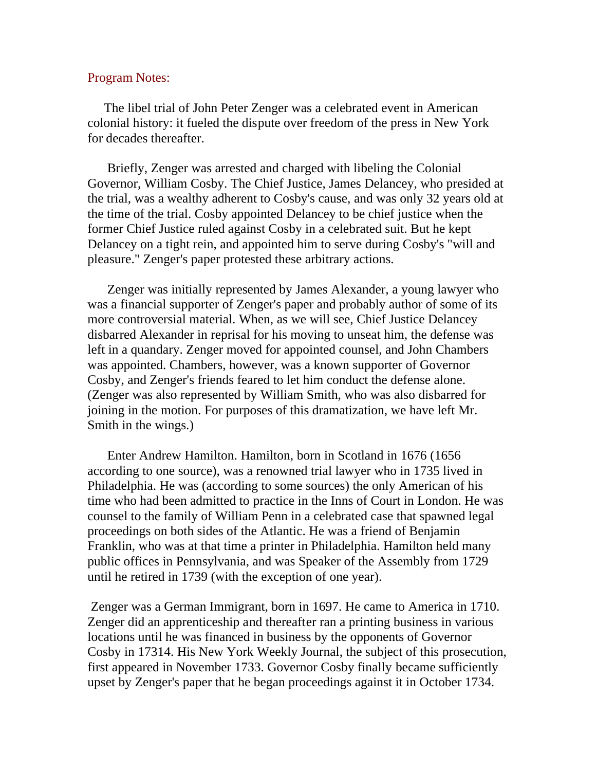### Program Notes:

 The libel trial of John Peter Zenger was a celebrated event in American colonial history: it fueled the dispute over freedom of the press in New York for decades thereafter.

 Briefly, Zenger was arrested and charged with libeling the Colonial Governor, William Cosby. The Chief Justice, James Delancey, who presided at the trial, was a wealthy adherent to Cosby's cause, and was only 32 years old at the time of the trial. Cosby appointed Delancey to be chief justice when the former Chief Justice ruled against Cosby in a celebrated suit. But he kept Delancey on a tight rein, and appointed him to serve during Cosby's "will and pleasure." Zenger's paper protested these arbitrary actions.

 Zenger was initially represented by James Alexander, a young lawyer who was a financial supporter of Zenger's paper and probably author of some of its more controversial material. When, as we will see, Chief Justice Delancey disbarred Alexander in reprisal for his moving to unseat him, the defense was left in a quandary. Zenger moved for appointed counsel, and John Chambers was appointed. Chambers, however, was a known supporter of Governor Cosby, and Zenger's friends feared to let him conduct the defense alone. (Zenger was also represented by William Smith, who was also disbarred for joining in the motion. For purposes of this dramatization, we have left Mr. Smith in the wings.)

 Enter Andrew Hamilton. Hamilton, born in Scotland in 1676 (1656 according to one source), was a renowned trial lawyer who in 1735 lived in Philadelphia. He was (according to some sources) the only American of his time who had been admitted to practice in the Inns of Court in London. He was counsel to the family of William Penn in a celebrated case that spawned legal proceedings on both sides of the Atlantic. He was a friend of Benjamin Franklin, who was at that time a printer in Philadelphia. Hamilton held many public offices in Pennsylvania, and was Speaker of the Assembly from 1729 until he retired in 1739 (with the exception of one year).

Zenger was a German Immigrant, born in 1697. He came to America in 1710. Zenger did an apprenticeship and thereafter ran a printing business in various locations until he was financed in business by the opponents of Governor Cosby in 17314. His New York Weekly Journal, the subject of this prosecution, first appeared in November 1733. Governor Cosby finally became sufficiently upset by Zenger's paper that he began proceedings against it in October 1734.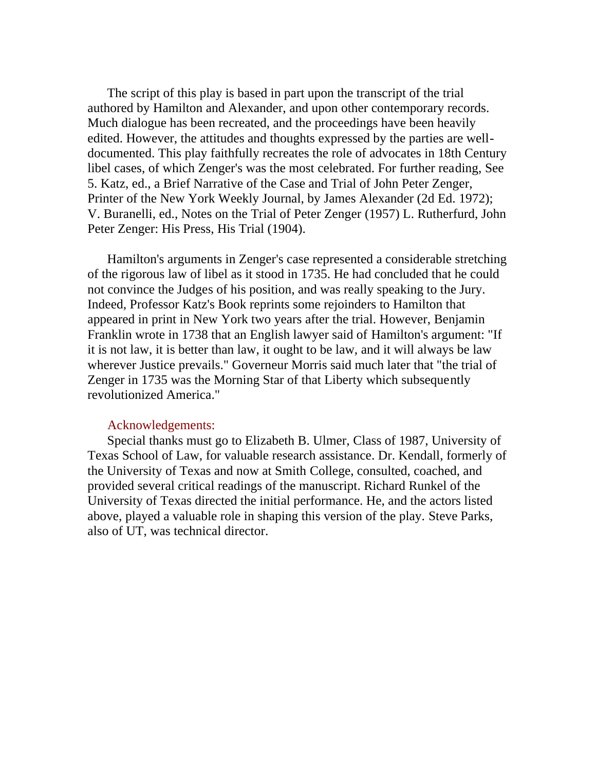The script of this play is based in part upon the transcript of the trial authored by Hamilton and Alexander, and upon other contemporary records. Much dialogue has been recreated, and the proceedings have been heavily edited. However, the attitudes and thoughts expressed by the parties are welldocumented. This play faithfully recreates the role of advocates in 18th Century libel cases, of which Zenger's was the most celebrated. For further reading, See 5. Katz, ed., a Brief Narrative of the Case and Trial of John Peter Zenger, Printer of the New York Weekly Journal, by James Alexander (2d Ed. 1972); V. Buranelli, ed., Notes on the Trial of Peter Zenger (1957) L. Rutherfurd, John Peter Zenger: His Press, His Trial (1904).

 Hamilton's arguments in Zenger's case represented a considerable stretching of the rigorous law of libel as it stood in 1735. He had concluded that he could not convince the Judges of his position, and was really speaking to the Jury. Indeed, Professor Katz's Book reprints some rejoinders to Hamilton that appeared in print in New York two years after the trial. However, Benjamin Franklin wrote in 1738 that an English lawyer said of Hamilton's argument: "If it is not law, it is better than law, it ought to be law, and it will always be law wherever Justice prevails." Governeur Morris said much later that "the trial of Zenger in 1735 was the Morning Star of that Liberty which subsequently revolutionized America."

#### Acknowledgements:

 Special thanks must go to Elizabeth B. Ulmer, Class of 1987, University of Texas School of Law, for valuable research assistance. Dr. Kendall, formerly of the University of Texas and now at Smith College, consulted, coached, and provided several critical readings of the manuscript. Richard Runkel of the University of Texas directed the initial performance. He, and the actors listed above, played a valuable role in shaping this version of the play. Steve Parks, also of UT, was technical director.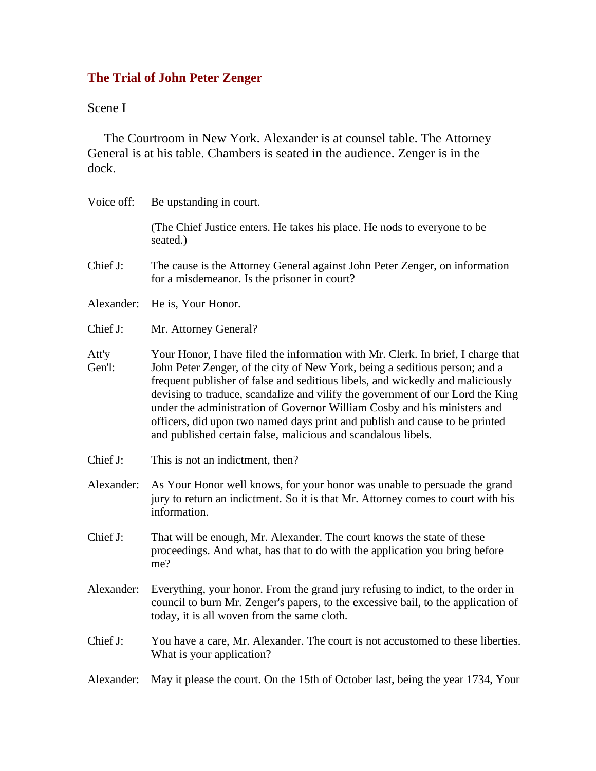# **The Trial of John Peter Zenger**

# Scene I

 The Courtroom in New York. Alexander is at counsel table. The Attorney General is at his table. Chambers is seated in the audience. Zenger is in the dock.

| Voice off:      | Be upstanding in court.                                                                                                                                                                                                                                                                                                                                                                                                                                                                                                                                         |  |  |  |
|-----------------|-----------------------------------------------------------------------------------------------------------------------------------------------------------------------------------------------------------------------------------------------------------------------------------------------------------------------------------------------------------------------------------------------------------------------------------------------------------------------------------------------------------------------------------------------------------------|--|--|--|
|                 | (The Chief Justice enters. He takes his place. He nods to everyone to be<br>seated.)                                                                                                                                                                                                                                                                                                                                                                                                                                                                            |  |  |  |
| Chief J:        | The cause is the Attorney General against John Peter Zenger, on information<br>for a misdemeanor. Is the prisoner in court?                                                                                                                                                                                                                                                                                                                                                                                                                                     |  |  |  |
| Alexander:      | He is, Your Honor.                                                                                                                                                                                                                                                                                                                                                                                                                                                                                                                                              |  |  |  |
| Chief J:        | Mr. Attorney General?                                                                                                                                                                                                                                                                                                                                                                                                                                                                                                                                           |  |  |  |
| Att'y<br>Gen'l: | Your Honor, I have filed the information with Mr. Clerk. In brief, I charge that<br>John Peter Zenger, of the city of New York, being a seditious person; and a<br>frequent publisher of false and seditious libels, and wickedly and maliciously<br>devising to traduce, scandalize and vilify the government of our Lord the King<br>under the administration of Governor William Cosby and his ministers and<br>officers, did upon two named days print and publish and cause to be printed<br>and published certain false, malicious and scandalous libels. |  |  |  |
| Chief J:        | This is not an indictment, then?                                                                                                                                                                                                                                                                                                                                                                                                                                                                                                                                |  |  |  |
| Alexander:      | As Your Honor well knows, for your honor was unable to persuade the grand<br>jury to return an indictment. So it is that Mr. Attorney comes to court with his<br>information.                                                                                                                                                                                                                                                                                                                                                                                   |  |  |  |
| Chief J:        | That will be enough, Mr. Alexander. The court knows the state of these<br>proceedings. And what, has that to do with the application you bring before<br>me?                                                                                                                                                                                                                                                                                                                                                                                                    |  |  |  |
| Alexander:      | Everything, your honor. From the grand jury refusing to indict, to the order in<br>council to burn Mr. Zenger's papers, to the excessive bail, to the application of<br>today, it is all woven from the same cloth.                                                                                                                                                                                                                                                                                                                                             |  |  |  |
| Chief J:        | You have a care, Mr. Alexander. The court is not accustomed to these liberties.<br>What is your application?                                                                                                                                                                                                                                                                                                                                                                                                                                                    |  |  |  |
| Alexander:      | May it please the court. On the 15th of October last, being the year 1734, Your                                                                                                                                                                                                                                                                                                                                                                                                                                                                                 |  |  |  |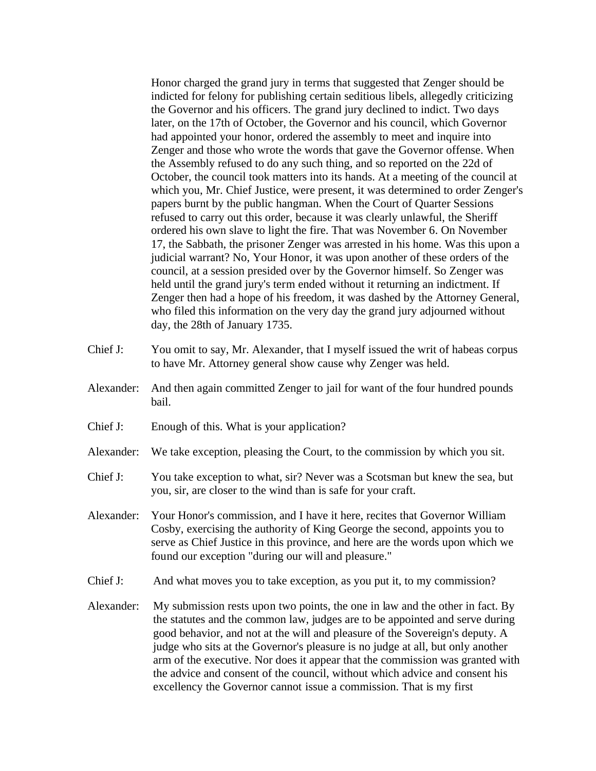Honor charged the grand jury in terms that suggested that Zenger should be indicted for felony for publishing certain seditious libels, allegedly criticizing the Governor and his officers. The grand jury declined to indict. Two days later, on the 17th of October, the Governor and his council, which Governor had appointed your honor, ordered the assembly to meet and inquire into Zenger and those who wrote the words that gave the Governor offense. When the Assembly refused to do any such thing, and so reported on the 22d of October, the council took matters into its hands. At a meeting of the council at which you, Mr. Chief Justice, were present, it was determined to order Zenger's papers burnt by the public hangman. When the Court of Quarter Sessions refused to carry out this order, because it was clearly unlawful, the Sheriff ordered his own slave to light the fire. That was November 6. On November 17, the Sabbath, the prisoner Zenger was arrested in his home. Was this upon a judicial warrant? No, Your Honor, it was upon another of these orders of the council, at a session presided over by the Governor himself. So Zenger was held until the grand jury's term ended without it returning an indictment. If Zenger then had a hope of his freedom, it was dashed by the Attorney General, who filed this information on the very day the grand jury adjourned without day, the 28th of January 1735.

- Chief J: You omit to say, Mr. Alexander, that I myself issued the writ of habeas corpus to have Mr. Attorney general show cause why Zenger was held.
- Alexander: And then again committed Zenger to jail for want of the four hundred pounds bail.
- Chief J: Enough of this. What is your application?
- Alexander: We take exception, pleasing the Court, to the commission by which you sit.
- Chief J: You take exception to what, sir? Never was a Scotsman but knew the sea, but you, sir, are closer to the wind than is safe for your craft.
- Alexander: Your Honor's commission, and I have it here, recites that Governor William Cosby, exercising the authority of King George the second, appoints you to serve as Chief Justice in this province, and here are the words upon which we found our exception "during our will and pleasure."
- Chief J: And what moves you to take exception, as you put it, to my commission?
- Alexander: My submission rests upon two points, the one in law and the other in fact. By the statutes and the common law, judges are to be appointed and serve during good behavior, and not at the will and pleasure of the Sovereign's deputy. A judge who sits at the Governor's pleasure is no judge at all, but only another arm of the executive. Nor does it appear that the commission was granted with the advice and consent of the council, without which advice and consent his excellency the Governor cannot issue a commission. That is my first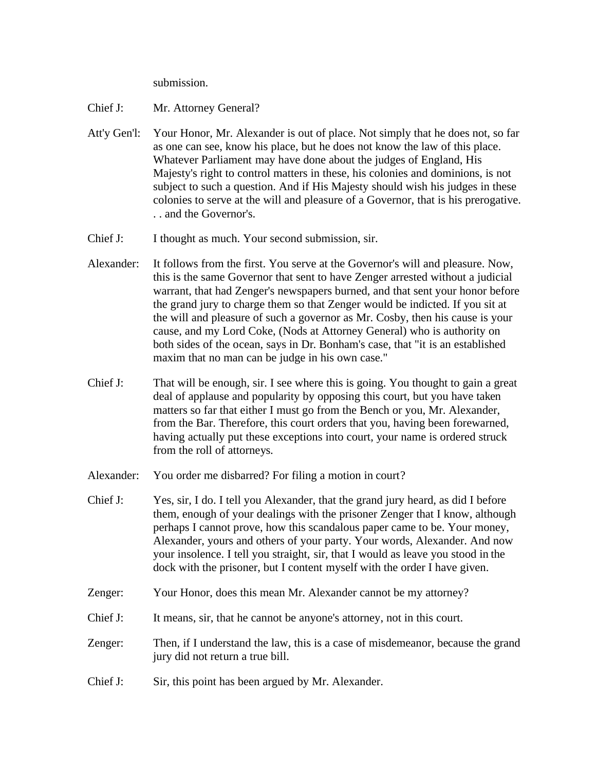submission.

- Chief J: Mr. Attorney General?
- Att'y Gen'l: Your Honor, Mr. Alexander is out of place. Not simply that he does not, so far as one can see, know his place, but he does not know the law of this place. Whatever Parliament may have done about the judges of England, His Majesty's right to control matters in these, his colonies and dominions, is not subject to such a question. And if His Majesty should wish his judges in these colonies to serve at the will and pleasure of a Governor, that is his prerogative. . . and the Governor's.
- Chief J: I thought as much. Your second submission, sir.
- Alexander: It follows from the first. You serve at the Governor's will and pleasure. Now, this is the same Governor that sent to have Zenger arrested without a judicial warrant, that had Zenger's newspapers burned, and that sent your honor before the grand jury to charge them so that Zenger would be indicted. If you sit at the will and pleasure of such a governor as Mr. Cosby, then his cause is your cause, and my Lord Coke, (Nods at Attorney General) who is authority on both sides of the ocean, says in Dr. Bonham's case, that "it is an established maxim that no man can be judge in his own case."
- Chief J: That will be enough, sir. I see where this is going. You thought to gain a great deal of applause and popularity by opposing this court, but you have taken matters so far that either I must go from the Bench or you, Mr. Alexander, from the Bar. Therefore, this court orders that you, having been forewarned, having actually put these exceptions into court, your name is ordered struck from the roll of attorneys.
- Alexander: You order me disbarred? For filing a motion in court?
- Chief J: Yes, sir, I do. I tell you Alexander, that the grand jury heard, as did I before them, enough of your dealings with the prisoner Zenger that I know, although perhaps I cannot prove, how this scandalous paper came to be. Your money, Alexander, yours and others of your party. Your words, Alexander. And now your insolence. I tell you straight, sir, that I would as leave you stood in the dock with the prisoner, but I content myself with the order I have given.
- Zenger: Your Honor, does this mean Mr. Alexander cannot be my attorney?
- Chief J: It means, sir, that he cannot be anyone's attorney, not in this court.
- Zenger: Then, if I understand the law, this is a case of misdemeanor, because the grand jury did not return a true bill.
- Chief J: Sir, this point has been argued by Mr. Alexander.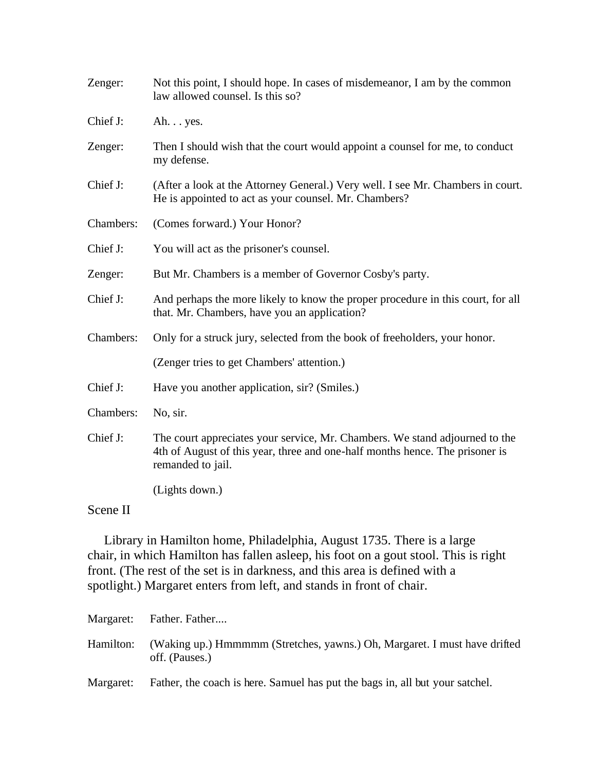| Zenger:   | Not this point, I should hope. In cases of misdemeanor, I am by the common<br>law allowed counsel. Is this so?                                                                   |  |  |
|-----------|----------------------------------------------------------------------------------------------------------------------------------------------------------------------------------|--|--|
| Chief J:  | Ah yes.                                                                                                                                                                          |  |  |
| Zenger:   | Then I should wish that the court would appoint a counsel for me, to conduct<br>my defense.                                                                                      |  |  |
| Chief J:  | (After a look at the Attorney General.) Very well. I see Mr. Chambers in court.<br>He is appointed to act as your counsel. Mr. Chambers?                                         |  |  |
| Chambers: | (Comes forward.) Your Honor?                                                                                                                                                     |  |  |
| Chief J:  | You will act as the prisoner's counsel.                                                                                                                                          |  |  |
| Zenger:   | But Mr. Chambers is a member of Governor Cosby's party.                                                                                                                          |  |  |
| Chief J:  | And perhaps the more likely to know the proper procedure in this court, for all<br>that. Mr. Chambers, have you an application?                                                  |  |  |
| Chambers: | Only for a struck jury, selected from the book of freeholders, your honor.                                                                                                       |  |  |
|           | (Zenger tries to get Chambers' attention.)                                                                                                                                       |  |  |
| Chief J:  | Have you another application, sir? (Smiles.)                                                                                                                                     |  |  |
| Chambers: | No, sir.                                                                                                                                                                         |  |  |
| Chief J:  | The court appreciates your service, Mr. Chambers. We stand adjourned to the<br>4th of August of this year, three and one-half months hence. The prisoner is<br>remanded to jail. |  |  |
|           | (Lights down.)                                                                                                                                                                   |  |  |
| Scene II  |                                                                                                                                                                                  |  |  |

 Library in Hamilton home, Philadelphia, August 1735. There is a large chair, in which Hamilton has fallen asleep, his foot on a gout stool. This is right front. (The rest of the set is in darkness, and this area is defined with a spotlight.) Margaret enters from left, and stands in front of chair.

|           | Margaret: Father. Father                                                                    |
|-----------|---------------------------------------------------------------------------------------------|
| Hamilton: | (Waking up.) Hmmmmm (Stretches, yawns.) Oh, Margaret. I must have drifted<br>off. (Pauses.) |
| Margaret: | Father, the coach is here. Samuel has put the bags in, all but your satchel.                |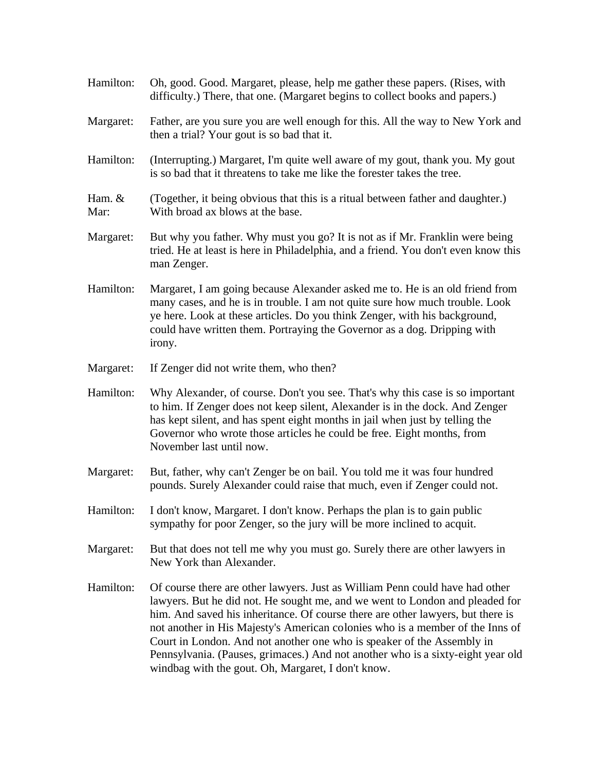| Hamilton:      | Oh, good. Good. Margaret, please, help me gather these papers. (Rises, with<br>difficulty.) There, that one. (Margaret begins to collect books and papers.)                                                                                                                                                                                                                                                                                                                                                                                         |  |  |  |
|----------------|-----------------------------------------------------------------------------------------------------------------------------------------------------------------------------------------------------------------------------------------------------------------------------------------------------------------------------------------------------------------------------------------------------------------------------------------------------------------------------------------------------------------------------------------------------|--|--|--|
| Margaret:      | Father, are you sure you are well enough for this. All the way to New York and<br>then a trial? Your gout is so bad that it.                                                                                                                                                                                                                                                                                                                                                                                                                        |  |  |  |
| Hamilton:      | (Interrupting.) Margaret, I'm quite well aware of my gout, thank you. My gout<br>is so bad that it threatens to take me like the forester takes the tree.                                                                                                                                                                                                                                                                                                                                                                                           |  |  |  |
| Ham. &<br>Mar: | (Together, it being obvious that this is a ritual between father and daughter.)<br>With broad ax blows at the base.                                                                                                                                                                                                                                                                                                                                                                                                                                 |  |  |  |
| Margaret:      | But why you father. Why must you go? It is not as if Mr. Franklin were being<br>tried. He at least is here in Philadelphia, and a friend. You don't even know this<br>man Zenger.                                                                                                                                                                                                                                                                                                                                                                   |  |  |  |
| Hamilton:      | Margaret, I am going because Alexander asked me to. He is an old friend from<br>many cases, and he is in trouble. I am not quite sure how much trouble. Look<br>ye here. Look at these articles. Do you think Zenger, with his background,<br>could have written them. Portraying the Governor as a dog. Dripping with<br>irony.                                                                                                                                                                                                                    |  |  |  |
| Margaret:      | If Zenger did not write them, who then?                                                                                                                                                                                                                                                                                                                                                                                                                                                                                                             |  |  |  |
| Hamilton:      | Why Alexander, of course. Don't you see. That's why this case is so important<br>to him. If Zenger does not keep silent, Alexander is in the dock. And Zenger<br>has kept silent, and has spent eight months in jail when just by telling the<br>Governor who wrote those articles he could be free. Eight months, from<br>November last until now.                                                                                                                                                                                                 |  |  |  |
| Margaret:      | But, father, why can't Zenger be on bail. You told me it was four hundred<br>pounds. Surely Alexander could raise that much, even if Zenger could not.                                                                                                                                                                                                                                                                                                                                                                                              |  |  |  |
| Hamilton:      | I don't know, Margaret. I don't know. Perhaps the plan is to gain public<br>sympathy for poor Zenger, so the jury will be more inclined to acquit.                                                                                                                                                                                                                                                                                                                                                                                                  |  |  |  |
| Margaret:      | But that does not tell me why you must go. Surely there are other lawyers in<br>New York than Alexander.                                                                                                                                                                                                                                                                                                                                                                                                                                            |  |  |  |
| Hamilton:      | Of course there are other lawyers. Just as William Penn could have had other<br>lawyers. But he did not. He sought me, and we went to London and pleaded for<br>him. And saved his inheritance. Of course there are other lawyers, but there is<br>not another in His Majesty's American colonies who is a member of the Inns of<br>Court in London. And not another one who is speaker of the Assembly in<br>Pennsylvania. (Pauses, grimaces.) And not another who is a sixty-eight year old<br>windbag with the gout. Oh, Margaret, I don't know. |  |  |  |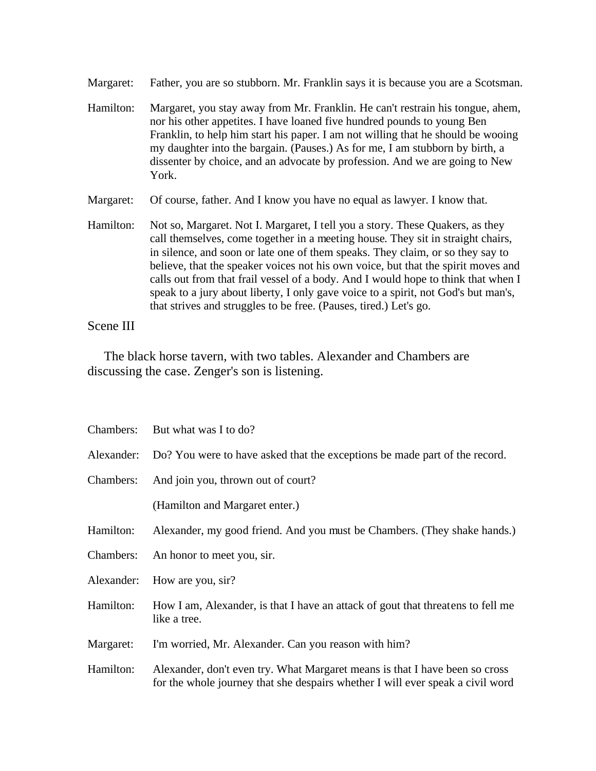Margaret: Father, you are so stubborn. Mr. Franklin says it is because you are a Scotsman.

- Hamilton: Margaret, you stay away from Mr. Franklin. He can't restrain his tongue, ahem, nor his other appetites. I have loaned five hundred pounds to young Ben Franklin, to help him start his paper. I am not willing that he should be wooing my daughter into the bargain. (Pauses.) As for me, I am stubborn by birth, a dissenter by choice, and an advocate by profession. And we are going to New York.
- Margaret: Of course, father. And I know you have no equal as lawyer. I know that.
- Hamilton: Not so, Margaret. Not I. Margaret, I tell you a story. These Quakers, as they call themselves, come together in a meeting house. They sit in straight chairs, in silence, and soon or late one of them speaks. They claim, or so they say to believe, that the speaker voices not his own voice, but that the spirit moves and calls out from that frail vessel of a body. And I would hope to think that when I speak to a jury about liberty, I only gave voice to a spirit, not God's but man's, that strives and struggles to be free. (Pauses, tired.) Let's go.

### Scene III

 The black horse tavern, with two tables. Alexander and Chambers are discussing the case. Zenger's son is listening.

|           | Chambers: But what was I to do?                                                                                                                               |  |  |  |
|-----------|---------------------------------------------------------------------------------------------------------------------------------------------------------------|--|--|--|
|           | Alexander: Do? You were to have asked that the exceptions be made part of the record.                                                                         |  |  |  |
| Chambers: | And join you, thrown out of court?                                                                                                                            |  |  |  |
|           | (Hamilton and Margaret enter.)                                                                                                                                |  |  |  |
| Hamilton: | Alexander, my good friend. And you must be Chambers. (They shake hands.)                                                                                      |  |  |  |
| Chambers: | An honor to meet you, sir.                                                                                                                                    |  |  |  |
|           | Alexander: How are you, sir?                                                                                                                                  |  |  |  |
| Hamilton: | How I am, Alexander, is that I have an attack of gout that threatens to fell me<br>like a tree.                                                               |  |  |  |
| Margaret: | I'm worried, Mr. Alexander. Can you reason with him?                                                                                                          |  |  |  |
| Hamilton: | Alexander, don't even try. What Margaret means is that I have been so cross<br>for the whole journey that she despairs whether I will ever speak a civil word |  |  |  |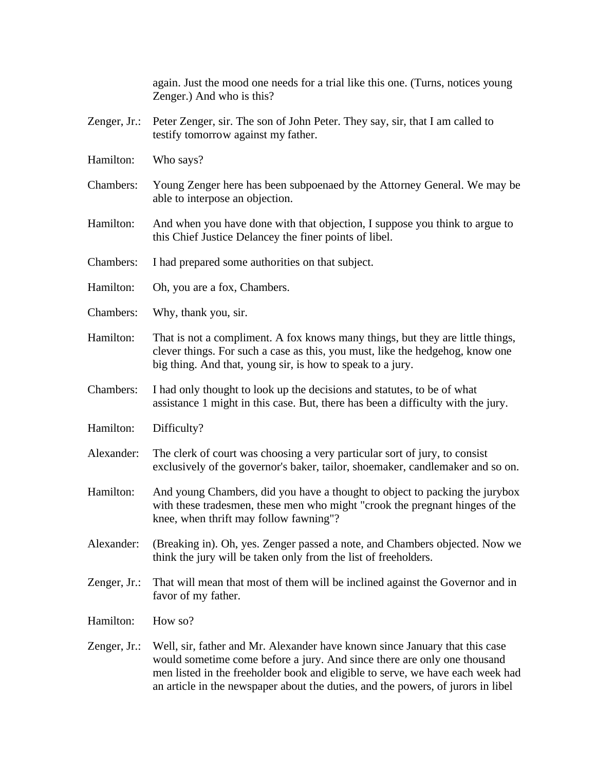again. Just the mood one needs for a trial like this one. (Turns, notices young Zenger.) And who is this?

- Zenger, Jr.: Peter Zenger, sir. The son of John Peter. They say, sir, that I am called to testify tomorrow against my father.
- Hamilton: Who says?
- Chambers: Young Zenger here has been subpoenaed by the Attorney General. We may be able to interpose an objection.
- Hamilton: And when you have done with that objection, I suppose you think to argue to this Chief Justice Delancey the finer points of libel.
- Chambers: I had prepared some authorities on that subject.
- Hamilton: Oh, you are a fox, Chambers.
- Chambers: Why, thank you, sir.
- Hamilton: That is not a compliment. A fox knows many things, but they are little things, clever things. For such a case as this, you must, like the hedgehog, know one big thing. And that, young sir, is how to speak to a jury.
- Chambers: I had only thought to look up the decisions and statutes, to be of what assistance 1 might in this case. But, there has been a difficulty with the jury.
- Hamilton: Difficulty?
- Alexander: The clerk of court was choosing a very particular sort of jury, to consist exclusively of the governor's baker, tailor, shoemaker, candlemaker and so on.
- Hamilton: And young Chambers, did you have a thought to object to packing the jurybox with these tradesmen, these men who might "crook the pregnant hinges of the knee, when thrift may follow fawning"?
- Alexander: (Breaking in). Oh, yes. Zenger passed a note, and Chambers objected. Now we think the jury will be taken only from the list of freeholders.
- Zenger, Jr.: That will mean that most of them will be inclined against the Governor and in favor of my father.
- Hamilton: How so?
- Zenger, Jr.: Well, sir, father and Mr. Alexander have known since January that this case would sometime come before a jury. And since there are only one thousand men listed in the freeholder book and eligible to serve, we have each week had an article in the newspaper about the duties, and the powers, of jurors in libel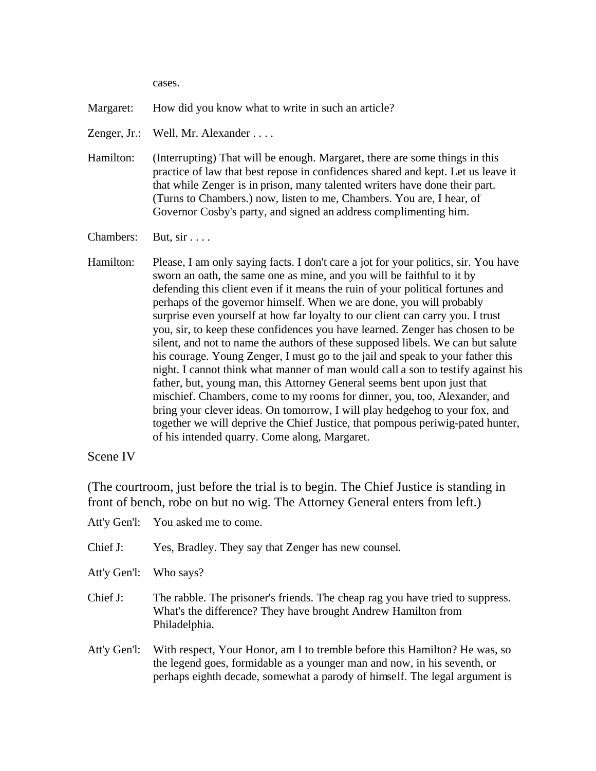cases.

Margaret: How did you know what to write in such an article?

- Zenger, Jr.: Well, Mr. Alexander . . . .
- Hamilton: (Interrupting) That will be enough. Margaret, there are some things in this practice of law that best repose in confidences shared and kept. Let us leave it that while Zenger is in prison, many talented writers have done their part. (Turns to Chambers.) now, listen to me, Chambers. You are, I hear, of Governor Cosby's party, and signed an address complimenting him.

Chambers: But, sir . . . .

Hamilton: Please, I am only saying facts. I don't care a jot for your politics, sir. You have sworn an oath, the same one as mine, and you will be faithful to it by defending this client even if it means the ruin of your political fortunes and perhaps of the governor himself. When we are done, you will probably surprise even yourself at how far loyalty to our client can carry you. I trust you, sir, to keep these confidences you have learned. Zenger has chosen to be silent, and not to name the authors of these supposed libels. We can but salute his courage. Young Zenger, I must go to the jail and speak to your father this night. I cannot think what manner of man would call a son to testify against his father, but, young man, this Attorney General seems bent upon just that mischief. Chambers, come to my rooms for dinner, you, too, Alexander, and bring your clever ideas. On tomorrow, I will play hedgehog to your fox, and together we will deprive the Chief Justice, that pompous periwig-pated hunter, of his intended quarry. Come along, Margaret.

### Scene IV

(The courtroom, just before the trial is to begin. The Chief Justice is standing in front of bench, robe on but no wig. The Attorney General enters from left.)

- Att'y Gen'l: You asked me to come. Chief J: Yes, Bradley. They say that Zenger has new counsel. Att'y Gen'l: Who says? Chief J: The rabble. The prisoner's friends. The cheap rag you have tried to suppress. What's the difference? They have brought Andrew Hamilton from Philadelphia.
- Att'y Gen'l: With respect, Your Honor, am I to tremble before this Hamilton? He was, so the legend goes, formidable as a younger man and now, in his seventh, or perhaps eighth decade, somewhat a parody of himself. The legal argument is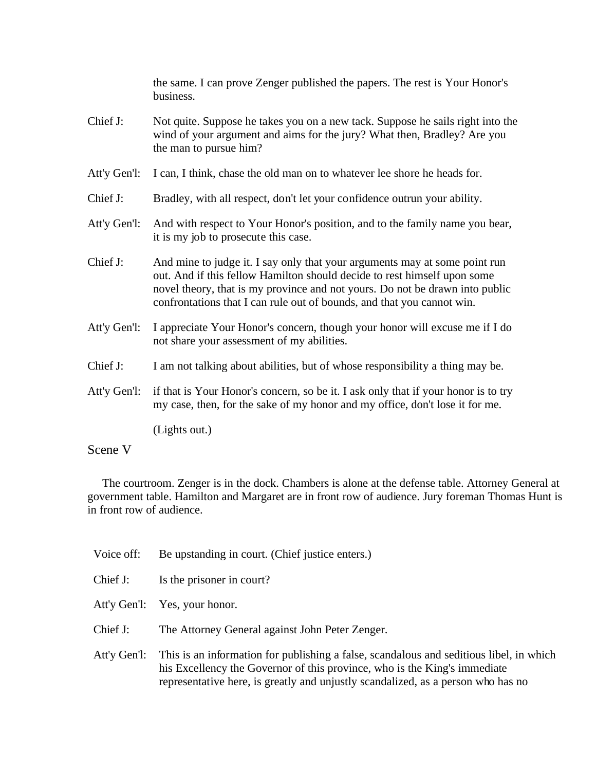the same. I can prove Zenger published the papers. The rest is Your Honor's business.

- Chief J: Not quite. Suppose he takes you on a new tack. Suppose he sails right into the wind of your argument and aims for the jury? What then, Bradley? Are you the man to pursue him?
- Att'y Gen'l: I can, I think, chase the old man on to whatever lee shore he heads for.
- Chief J: Bradley, with all respect, don't let your confidence outrun your ability.
- Att'y Gen'l: And with respect to Your Honor's position, and to the family name you bear, it is my job to prosecute this case.
- Chief J: And mine to judge it. I say only that your arguments may at some point run out. And if this fellow Hamilton should decide to rest himself upon some novel theory, that is my province and not yours. Do not be drawn into public confrontations that I can rule out of bounds, and that you cannot win.
- Att'y Gen'l: I appreciate Your Honor's concern, though your honor will excuse me if I do not share your assessment of my abilities.
- Chief J: I am not talking about abilities, but of whose responsibility a thing may be.
- Att'y Gen'l: if that is Your Honor's concern, so be it. I ask only that if your honor is to try my case, then, for the sake of my honor and my office, don't lose it for me.

(Lights out.)

### Scene V

 The courtroom. Zenger is in the dock. Chambers is alone at the defense table. Attorney General at government table. Hamilton and Margaret are in front row of audience. Jury foreman Thomas Hunt is in front row of audience.

| Voice off:   | Be upstanding in court. (Chief justice enters.)                                                                                                                                                                                                          |
|--------------|----------------------------------------------------------------------------------------------------------------------------------------------------------------------------------------------------------------------------------------------------------|
| Chief J:     | Is the prisoner in court?                                                                                                                                                                                                                                |
| Att'y Gen'l: | Yes, your honor.                                                                                                                                                                                                                                         |
| Chief J:     | The Attorney General against John Peter Zenger.                                                                                                                                                                                                          |
| Att'y Gen'l: | This is an information for publishing a false, scandalous and seditious libel, in which<br>his Excellency the Governor of this province, who is the King's immediate<br>representative here, is greatly and unjustly scandalized, as a person who has no |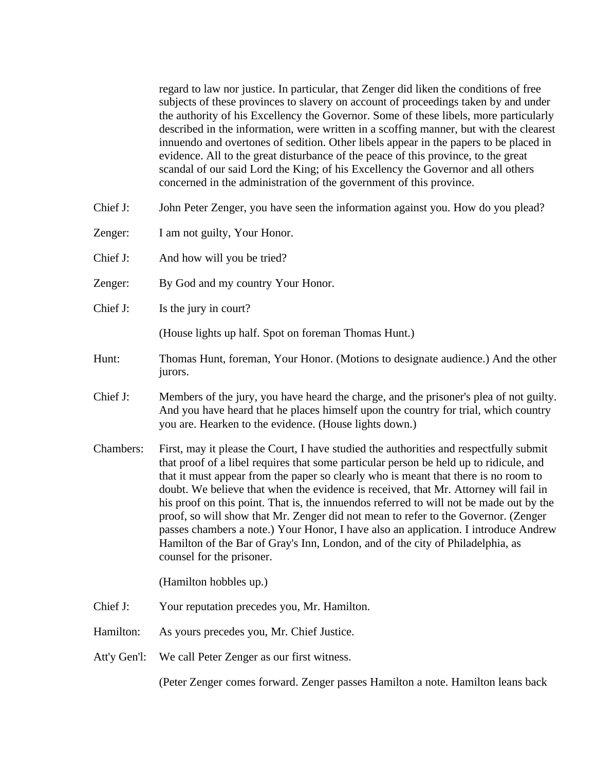regard to law nor justice. In particular, that Zenger did liken the conditions of free subjects of these provinces to slavery on account of proceedings taken by and under the authority of his Excellency the Governor. Some of these libels, more particularly described in the information, were written in a scoffing manner, but with the clearest innuendo and overtones of sedition. Other libels appear in the papers to be placed in evidence. All to the great disturbance of the peace of this province, to the great scandal of our said Lord the King; of his Excellency the Governor and all others concerned in the administration of the government of this province.

- Chief J: John Peter Zenger, you have seen the information against you. How do you plead?
- Zenger: I am not guilty, Your Honor.
- Chief J: And how will you be tried?
- Zenger: By God and my country Your Honor.
- Chief J: Is the jury in court?

(House lights up half. Spot on foreman Thomas Hunt.)

- Hunt: Thomas Hunt, foreman, Your Honor. (Motions to designate audience.) And the other jurors.
- Chief J: Members of the jury, you have heard the charge, and the prisoner's plea of not guilty. And you have heard that he places himself upon the country for trial, which country you are. Hearken to the evidence. (House lights down.)
- Chambers: First, may it please the Court, I have studied the authorities and respectfully submit that proof of a libel requires that some particular person be held up to ridicule, and that it must appear from the paper so clearly who is meant that there is no room to doubt. We believe that when the evidence is received, that Mr. Attorney will fail in his proof on this point. That is, the innuendos referred to will not be made out by the proof, so will show that Mr. Zenger did not mean to refer to the Governor. (Zenger passes chambers a note.) Your Honor, I have also an application. I introduce Andrew Hamilton of the Bar of Gray's Inn, London, and of the city of Philadelphia, as counsel for the prisoner.

(Hamilton hobbles up.)

- Chief J: Your reputation precedes you, Mr. Hamilton.
- Hamilton: As yours precedes you, Mr. Chief Justice.
- Att'y Gen'l: We call Peter Zenger as our first witness.

(Peter Zenger comes forward. Zenger passes Hamilton a note. Hamilton leans back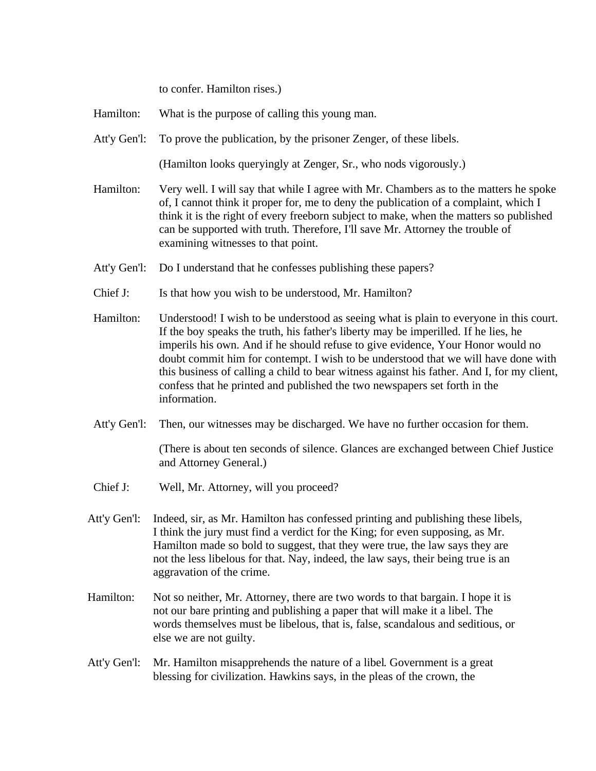to confer. Hamilton rises.)

| Hamilton: |  | What is the purpose of calling this young man. |  |
|-----------|--|------------------------------------------------|--|
|-----------|--|------------------------------------------------|--|

Att'y Gen'l: To prove the publication, by the prisoner Zenger, of these libels.

(Hamilton looks queryingly at Zenger, Sr., who nods vigorously.)

- Hamilton: Very well. I will say that while I agree with Mr. Chambers as to the matters he spoke of, I cannot think it proper for, me to deny the publication of a complaint, which I think it is the right of every freeborn subject to make, when the matters so published can be supported with truth. Therefore, I'll save Mr. Attorney the trouble of examining witnesses to that point.
- Att'y Gen'l: Do I understand that he confesses publishing these papers?
- Chief J: Is that how you wish to be understood, Mr. Hamilton?
- Hamilton: Understood! I wish to be understood as seeing what is plain to everyone in this court. If the boy speaks the truth, his father's liberty may be imperilled. If he lies, he imperils his own. And if he should refuse to give evidence, Your Honor would no doubt commit him for contempt. I wish to be understood that we will have done with this business of calling a child to bear witness against his father. And I, for my client, confess that he printed and published the two newspapers set forth in the information.
- Att'y Gen'l: Then, our witnesses may be discharged. We have no further occasion for them.

(There is about ten seconds of silence. Glances are exchanged between Chief Justice and Attorney General.)

- Chief J: Well, Mr. Attorney, will you proceed?
- Att'y Gen'l: Indeed, sir, as Mr. Hamilton has confessed printing and publishing these libels, I think the jury must find a verdict for the King; for even supposing, as Mr. Hamilton made so bold to suggest, that they were true, the law says they are not the less libelous for that. Nay, indeed, the law says, their being true is an aggravation of the crime.
- Hamilton: Not so neither, Mr. Attorney, there are two words to that bargain. I hope it is not our bare printing and publishing a paper that will make it a libel. The words themselves must be libelous, that is, false, scandalous and seditious, or else we are not guilty.
- Att'y Gen'l: Mr. Hamilton misapprehends the nature of a libel. Government is a great blessing for civilization. Hawkins says, in the pleas of the crown, the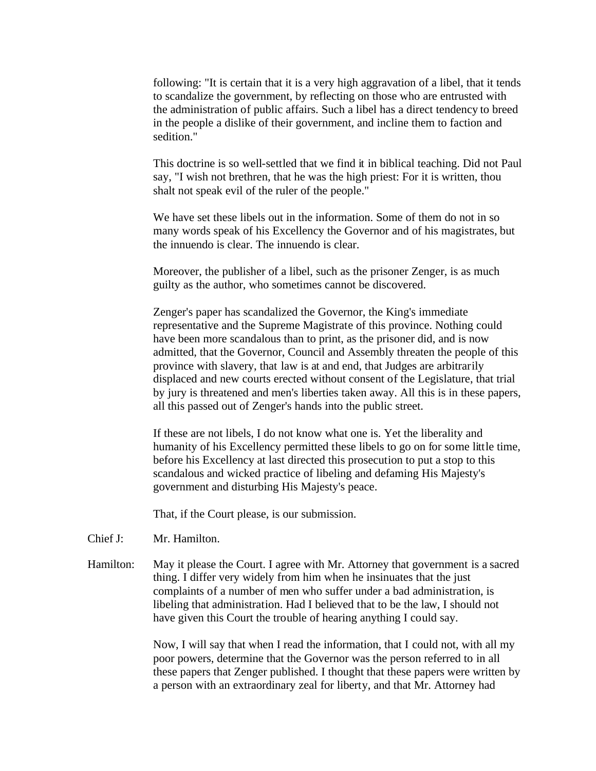following: "It is certain that it is a very high aggravation of a libel, that it tends to scandalize the government, by reflecting on those who are entrusted with the administration of public affairs. Such a libel has a direct tendency to breed in the people a dislike of their government, and incline them to faction and sedition."

This doctrine is so well-settled that we find it in biblical teaching. Did not Paul say, "I wish not brethren, that he was the high priest: For it is written, thou shalt not speak evil of the ruler of the people."

We have set these libels out in the information. Some of them do not in so many words speak of his Excellency the Governor and of his magistrates, but the innuendo is clear. The innuendo is clear.

Moreover, the publisher of a libel, such as the prisoner Zenger, is as much guilty as the author, who sometimes cannot be discovered.

Zenger's paper has scandalized the Governor, the King's immediate representative and the Supreme Magistrate of this province. Nothing could have been more scandalous than to print, as the prisoner did, and is now admitted, that the Governor, Council and Assembly threaten the people of this province with slavery, that law is at and end, that Judges are arbitrarily displaced and new courts erected without consent of the Legislature, that trial by jury is threatened and men's liberties taken away. All this is in these papers, all this passed out of Zenger's hands into the public street.

If these are not libels, I do not know what one is. Yet the liberality and humanity of his Excellency permitted these libels to go on for some little time, before his Excellency at last directed this prosecution to put a stop to this scandalous and wicked practice of libeling and defaming His Majesty's government and disturbing His Majesty's peace.

That, if the Court please, is our submission.

- Chief J: Mr. Hamilton.
- Hamilton: May it please the Court. I agree with Mr. Attorney that government is a sacred thing. I differ very widely from him when he insinuates that the just complaints of a number of men who suffer under a bad administration, is libeling that administration. Had I believed that to be the law, I should not have given this Court the trouble of hearing anything I could say.

Now, I will say that when I read the information, that I could not, with all my poor powers, determine that the Governor was the person referred to in all these papers that Zenger published. I thought that these papers were written by a person with an extraordinary zeal for liberty, and that Mr. Attorney had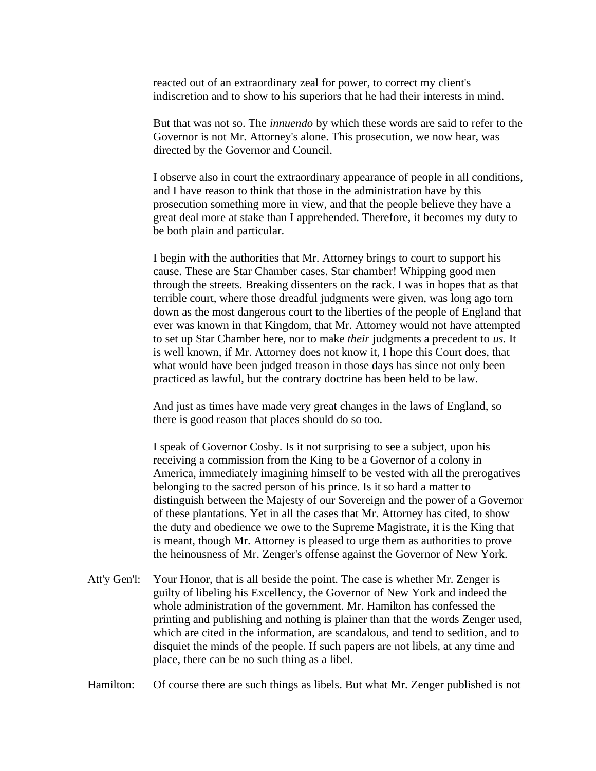reacted out of an extraordinary zeal for power, to correct my client's indiscretion and to show to his superiors that he had their interests in mind.

But that was not so. The *innuendo* by which these words are said to refer to the Governor is not Mr. Attorney's alone. This prosecution, we now hear, was directed by the Governor and Council.

I observe also in court the extraordinary appearance of people in all conditions, and I have reason to think that those in the administration have by this prosecution something more in view, and that the people believe they have a great deal more at stake than I apprehended. Therefore, it becomes my duty to be both plain and particular.

I begin with the authorities that Mr. Attorney brings to court to support his cause. These are Star Chamber cases. Star chamber! Whipping good men through the streets. Breaking dissenters on the rack. I was in hopes that as that terrible court, where those dreadful judgments were given, was long ago torn down as the most dangerous court to the liberties of the people of England that ever was known in that Kingdom, that Mr. Attorney would not have attempted to set up Star Chamber here, nor to make *their* judgments a precedent to *us.* It is well known, if Mr. Attorney does not know it, I hope this Court does, that what would have been judged treason in those days has since not only been practiced as lawful, but the contrary doctrine has been held to be law.

And just as times have made very great changes in the laws of England, so there is good reason that places should do so too.

I speak of Governor Cosby. Is it not surprising to see a subject, upon his receiving a commission from the King to be a Governor of a colony in America, immediately imagining himself to be vested with all the prerogatives belonging to the sacred person of his prince. Is it so hard a matter to distinguish between the Majesty of our Sovereign and the power of a Governor of these plantations. Yet in all the cases that Mr. Attorney has cited, to show the duty and obedience we owe to the Supreme Magistrate, it is the King that is meant, though Mr. Attorney is pleased to urge them as authorities to prove the heinousness of Mr. Zenger's offense against the Governor of New York.

Att'y Gen'l: Your Honor, that is all beside the point. The case is whether Mr. Zenger is guilty of libeling his Excellency, the Governor of New York and indeed the whole administration of the government. Mr. Hamilton has confessed the printing and publishing and nothing is plainer than that the words Zenger used, which are cited in the information, are scandalous, and tend to sedition, and to disquiet the minds of the people. If such papers are not libels, at any time and place, there can be no such thing as a libel.

Hamilton: Of course there are such things as libels. But what Mr. Zenger published is not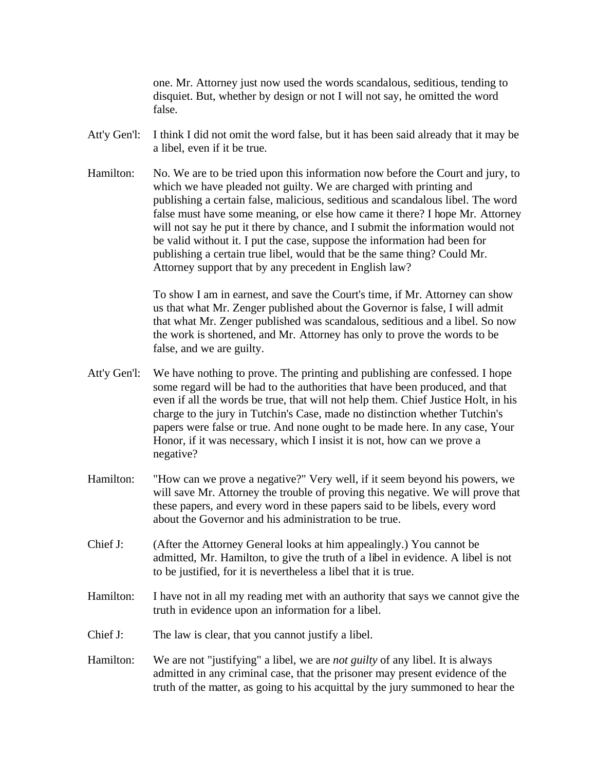one. Mr. Attorney just now used the words scandalous, seditious, tending to disquiet. But, whether by design or not I will not say, he omitted the word false.

- Att'y Gen'l: I think I did not omit the word false, but it has been said already that it may be a libel, even if it be true.
- Hamilton: No. We are to be tried upon this information now before the Court and jury, to which we have pleaded not guilty. We are charged with printing and publishing a certain false, malicious, seditious and scandalous libel. The word false must have some meaning, or else how came it there? I hope Mr. Attorney will not say he put it there by chance, and I submit the information would not be valid without it. I put the case, suppose the information had been for publishing a certain true libel, would that be the same thing? Could Mr. Attorney support that by any precedent in English law?

To show I am in earnest, and save the Court's time, if Mr. Attorney can show us that what Mr. Zenger published about the Governor is false, I will admit that what Mr. Zenger published was scandalous, seditious and a libel. So now the work is shortened, and Mr. Attorney has only to prove the words to be false, and we are guilty.

- Att'y Gen'l: We have nothing to prove. The printing and publishing are confessed. I hope some regard will be had to the authorities that have been produced, and that even if all the words be true, that will not help them. Chief Justice Holt, in his charge to the jury in Tutchin's Case, made no distinction whether Tutchin's papers were false or true. And none ought to be made here. In any case, Your Honor, if it was necessary, which I insist it is not, how can we prove a negative?
- Hamilton: "How can we prove a negative?" Very well, if it seem beyond his powers, we will save Mr. Attorney the trouble of proving this negative. We will prove that these papers, and every word in these papers said to be libels, every word about the Governor and his administration to be true.
- Chief J: (After the Attorney General looks at him appealingly.) You cannot be admitted, Mr. Hamilton, to give the truth of a libel in evidence. A libel is not to be justified, for it is nevertheless a libel that it is true.
- Hamilton: I have not in all my reading met with an authority that says we cannot give the truth in evidence upon an information for a libel.
- Chief J: The law is clear, that you cannot justify a libel.
- Hamilton: We are not "justifying" a libel, we are *not guilty* of any libel. It is always admitted in any criminal case, that the prisoner may present evidence of the truth of the matter, as going to his acquittal by the jury summoned to hear the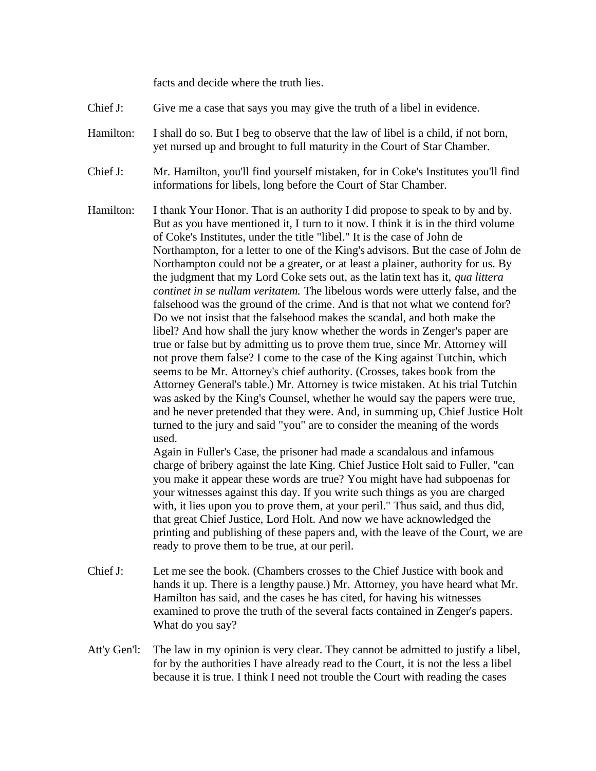facts and decide where the truth lies.

- Chief J: Give me a case that says you may give the truth of a libel in evidence.
- Hamilton: I shall do so. But I beg to observe that the law of libel is a child, if not born, yet nursed up and brought to full maturity in the Court of Star Chamber.
- Chief J: Mr. Hamilton, you'll find yourself mistaken, for in Coke's Institutes you'll find informations for libels, long before the Court of Star Chamber.
- Hamilton: I thank Your Honor. That is an authority I did propose to speak to by and by. But as you have mentioned it, I turn to it now. I think it is in the third volume of Coke's Institutes, under the title "libel." It is the case of John de Northampton, for a letter to one of the King's advisors. But the case of John de Northampton could not be a greater, or at least a plainer, authority for us. By the judgment that my Lord Coke sets out, as the latin text has it, *qua littera continet in se nullam veritatem.* The libelous words were utterly false, and the falsehood was the ground of the crime. And is that not what we contend for? Do we not insist that the falsehood makes the scandal, and both make the libel? And how shall the jury know whether the words in Zenger's paper are true or false but by admitting us to prove them true, since Mr. Attorney will not prove them false? I come to the case of the King against Tutchin, which seems to be Mr. Attorney's chief authority. (Crosses, takes book from the Attorney General's table.) Mr. Attorney is twice mistaken. At his trial Tutchin was asked by the King's Counsel, whether he would say the papers were true, and he never pretended that they were. And, in summing up, Chief Justice Holt turned to the jury and said "you" are to consider the meaning of the words used.

Again in Fuller's Case, the prisoner had made a scandalous and infamous charge of bribery against the late King. Chief Justice Holt said to Fuller, "can you make it appear these words are true? You might have had subpoenas for your witnesses against this day. If you write such things as you are charged with, it lies upon you to prove them, at your peril." Thus said, and thus did, that great Chief Justice, Lord Holt. And now we have acknowledged the printing and publishing of these papers and, with the leave of the Court, we are ready to prove them to be true, at our peril.

- Chief J: Let me see the book. (Chambers crosses to the Chief Justice with book and hands it up. There is a lengthy pause.) Mr. Attorney, you have heard what Mr. Hamilton has said, and the cases he has cited, for having his witnesses examined to prove the truth of the several facts contained in Zenger's papers. What do you say?
- Att'y Gen'l: The law in my opinion is very clear. They cannot be admitted to justify a libel, for by the authorities I have already read to the Court, it is not the less a libel because it is true. I think I need not trouble the Court with reading the cases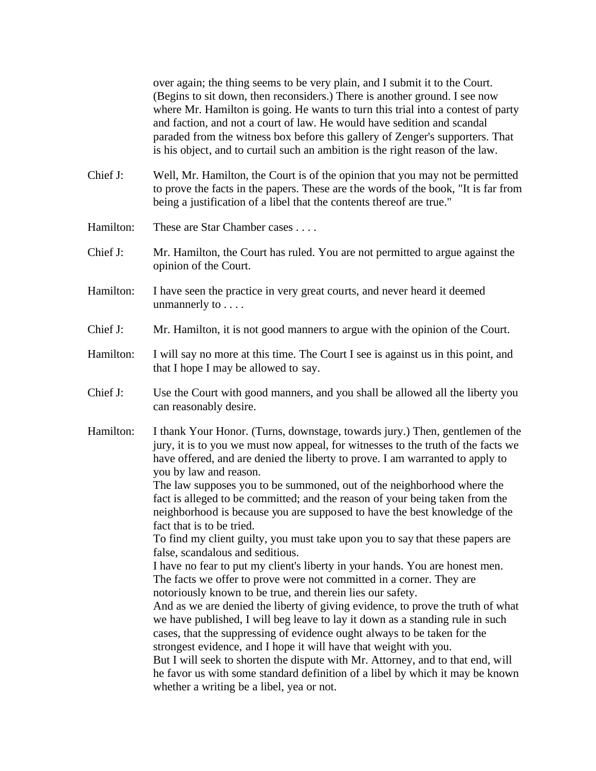over again; the thing seems to be very plain, and I submit it to the Court. (Begins to sit down, then reconsiders.) There is another ground. I see now where Mr. Hamilton is going. He wants to turn this trial into a contest of party and faction, and not a court of law. He would have sedition and scandal paraded from the witness box before this gallery of Zenger's supporters. That is his object, and to curtail such an ambition is the right reason of the law.

- Chief J: Well, Mr. Hamilton, the Court is of the opinion that you may not be permitted to prove the facts in the papers. These are the words of the book, "It is far from being a justification of a libel that the contents thereof are true."
- Hamilton: These are Star Chamber cases . . . .
- Chief J: Mr. Hamilton, the Court has ruled. You are not permitted to argue against the opinion of the Court.
- Hamilton: I have seen the practice in very great courts, and never heard it deemed unmannerly to . . . .
- Chief J: Mr. Hamilton, it is not good manners to argue with the opinion of the Court.
- Hamilton: I will say no more at this time. The Court I see is against us in this point, and that I hope I may be allowed to say.
- Chief J: Use the Court with good manners, and you shall be allowed all the liberty you can reasonably desire.
- Hamilton: I thank Your Honor. (Turns, downstage, towards jury.) Then, gentlemen of the jury, it is to you we must now appeal, for witnesses to the truth of the facts we have offered, and are denied the liberty to prove. I am warranted to apply to you by law and reason.

The law supposes you to be summoned, out of the neighborhood where the fact is alleged to be committed; and the reason of your being taken from the neighborhood is because you are supposed to have the best knowledge of the fact that is to be tried.

To find my client guilty, you must take upon you to say that these papers are false, scandalous and seditious.

I have no fear to put my client's liberty in your hands. You are honest men. The facts we offer to prove were not committed in a corner. They are notoriously known to be true, and therein lies our safety.

And as we are denied the liberty of giving evidence, to prove the truth of what we have published, I will beg leave to lay it down as a standing rule in such cases, that the suppressing of evidence ought always to be taken for the strongest evidence, and I hope it will have that weight with you.

But I will seek to shorten the dispute with Mr. Attorney, and to that end, will he favor us with some standard definition of a libel by which it may be known whether a writing be a libel, yea or not.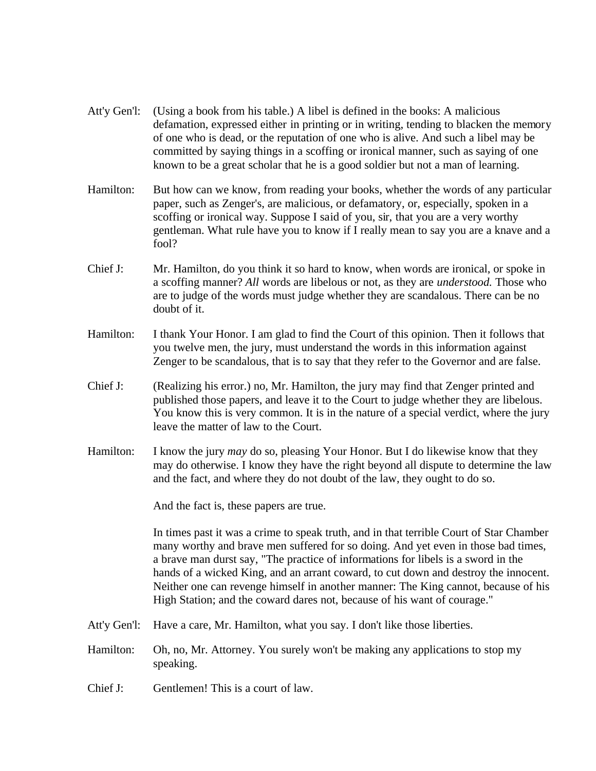- Att'y Gen'l: (Using a book from his table.) A libel is defined in the books: A malicious defamation, expressed either in printing or in writing, tending to blacken the memory of one who is dead, or the reputation of one who is alive. And such a libel may be committed by saying things in a scoffing or ironical manner, such as saying of one known to be a great scholar that he is a good soldier but not a man of learning.
- Hamilton: But how can we know, from reading your books, whether the words of any particular paper, such as Zenger's, are malicious, or defamatory, or, especially, spoken in a scoffing or ironical way. Suppose I said of you, sir, that you are a very worthy gentleman. What rule have you to know if I really mean to say you are a knave and a fool?
- Chief J: Mr. Hamilton, do you think it so hard to know, when words are ironical, or spoke in a scoffing manner? *All* words are libelous or not, as they are *understood.* Those who are to judge of the words must judge whether they are scandalous. There can be no doubt of it.
- Hamilton: I thank Your Honor. I am glad to find the Court of this opinion. Then it follows that you twelve men, the jury, must understand the words in this information against Zenger to be scandalous, that is to say that they refer to the Governor and are false.
- Chief J: (Realizing his error.) no, Mr. Hamilton, the jury may find that Zenger printed and published those papers, and leave it to the Court to judge whether they are libelous. You know this is very common. It is in the nature of a special verdict, where the jury leave the matter of law to the Court.
- Hamilton: I know the jury *may* do so, pleasing Your Honor. But I do likewise know that they may do otherwise. I know they have the right beyond all dispute to determine the law and the fact, and where they do not doubt of the law, they ought to do so.

And the fact is, these papers are true.

In times past it was a crime to speak truth, and in that terrible Court of Star Chamber many worthy and brave men suffered for so doing. And yet even in those bad times, a brave man durst say, "The practice of informations for libels is a sword in the hands of a wicked King, and an arrant coward, to cut down and destroy the innocent. Neither one can revenge himself in another manner: The King cannot, because of his High Station; and the coward dares not, because of his want of courage."

- Att'y Gen'l: Have a care, Mr. Hamilton, what you say. I don't like those liberties.
- Hamilton: Oh, no, Mr. Attorney. You surely won't be making any applications to stop my speaking.
- Chief J: Gentlemen! This is a court of law.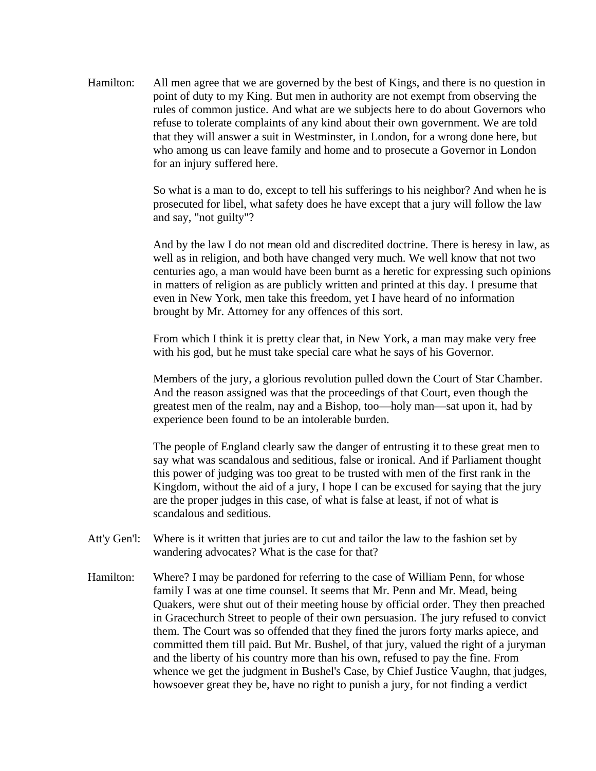Hamilton: All men agree that we are governed by the best of Kings, and there is no question in point of duty to my King. But men in authority are not exempt from observing the rules of common justice. And what are we subjects here to do about Governors who refuse to tolerate complaints of any kind about their own government. We are told that they will answer a suit in Westminster, in London, for a wrong done here, but who among us can leave family and home and to prosecute a Governor in London for an injury suffered here.

> So what is a man to do, except to tell his sufferings to his neighbor? And when he is prosecuted for libel, what safety does he have except that a jury will follow the law and say, "not guilty"?

And by the law I do not mean old and discredited doctrine. There is heresy in law, as well as in religion, and both have changed very much. We well know that not two centuries ago, a man would have been burnt as a heretic for expressing such opinions in matters of religion as are publicly written and printed at this day. I presume that even in New York, men take this freedom, yet I have heard of no information brought by Mr. Attorney for any offences of this sort.

From which I think it is pretty clear that, in New York, a man may make very free with his god, but he must take special care what he says of his Governor.

Members of the jury, a glorious revolution pulled down the Court of Star Chamber. And the reason assigned was that the proceedings of that Court, even though the greatest men of the realm, nay and a Bishop, too—holy man—sat upon it, had by experience been found to be an intolerable burden.

The people of England clearly saw the danger of entrusting it to these great men to say what was scandalous and seditious, false or ironical. And if Parliament thought this power of judging was too great to be trusted with men of the first rank in the Kingdom, without the aid of a jury, I hope I can be excused for saying that the jury are the proper judges in this case, of what is false at least, if not of what is scandalous and seditious.

- Att'y Gen'l: Where is it written that juries are to cut and tailor the law to the fashion set by wandering advocates? What is the case for that?
- Hamilton: Where? I may be pardoned for referring to the case of William Penn, for whose family I was at one time counsel. It seems that Mr. Penn and Mr. Mead, being Quakers, were shut out of their meeting house by official order. They then preached in Gracechurch Street to people of their own persuasion. The jury refused to convict them. The Court was so offended that they fined the jurors forty marks apiece, and committed them till paid. But Mr. Bushel, of that jury, valued the right of a juryman and the liberty of his country more than his own, refused to pay the fine. From whence we get the judgment in Bushel's Case, by Chief Justice Vaughn, that judges, howsoever great they be, have no right to punish a jury, for not finding a verdict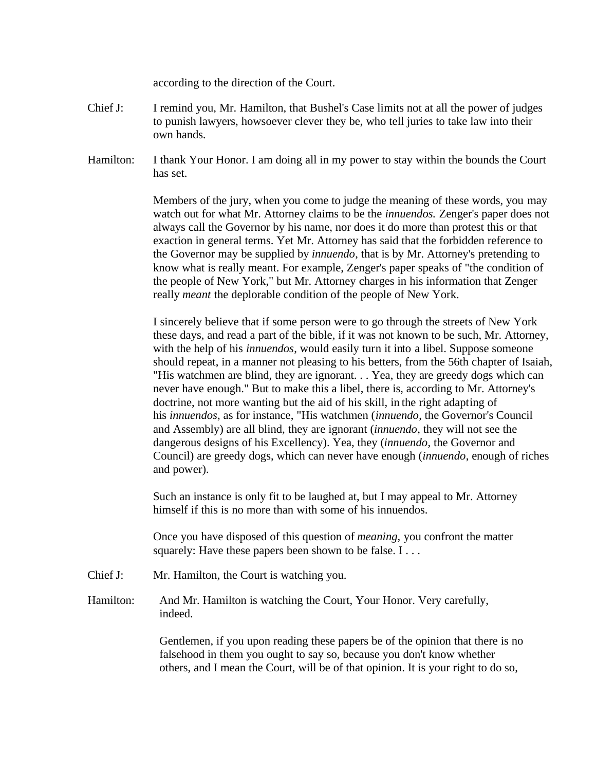according to the direction of the Court.

- Chief J: I remind you, Mr. Hamilton, that Bushel's Case limits not at all the power of judges to punish lawyers, howsoever clever they be, who tell juries to take law into their own hands.
- Hamilton: I thank Your Honor. I am doing all in my power to stay within the bounds the Court has set.

Members of the jury, when you come to judge the meaning of these words, you may watch out for what Mr. Attorney claims to be the *innuendos.* Zenger's paper does not always call the Governor by his name, nor does it do more than protest this or that exaction in general terms. Yet Mr. Attorney has said that the forbidden reference to the Governor may be supplied by *innuendo*, that is by Mr. Attorney's pretending to know what is really meant. For example, Zenger's paper speaks of "the condition of the people of New York," but Mr. Attorney charges in his information that Zenger really *meant* the deplorable condition of the people of New York.

I sincerely believe that if some person were to go through the streets of New York these days, and read a part of the bible, if it was not known to be such, Mr. Attorney, with the help of his *innuendos*, would easily turn it into a libel. Suppose someone should repeat, in a manner not pleasing to his betters, from the 56th chapter of Isaiah, "His watchmen are blind, they are ignorant. . . Yea, they are greedy dogs which can never have enough." But to make this a libel, there is, according to Mr. Attorney's doctrine, not more wanting but the aid of his skill, in the right adapting of his *innuendos*, as for instance, "His watchmen (*innuendo*, the Governor's Council and Assembly) are all blind, they are ignorant (*innuendo*, they will not see the dangerous designs of his Excellency). Yea, they (*innuendo*, the Governor and Council) are greedy dogs, which can never have enough (*innuendo*, enough of riches and power).

Such an instance is only fit to be laughed at, but I may appeal to Mr. Attorney himself if this is no more than with some of his innuendos.

Once you have disposed of this question of *meaning,* you confront the matter squarely: Have these papers been shown to be false. I . . .

Chief J: Mr. Hamilton, the Court is watching you.

Hamilton: And Mr. Hamilton is watching the Court, Your Honor. Very carefully, indeed.

> Gentlemen, if you upon reading these papers be of the opinion that there is no falsehood in them you ought to say so, because you don't know whether others, and I mean the Court, will be of that opinion. It is your right to do so,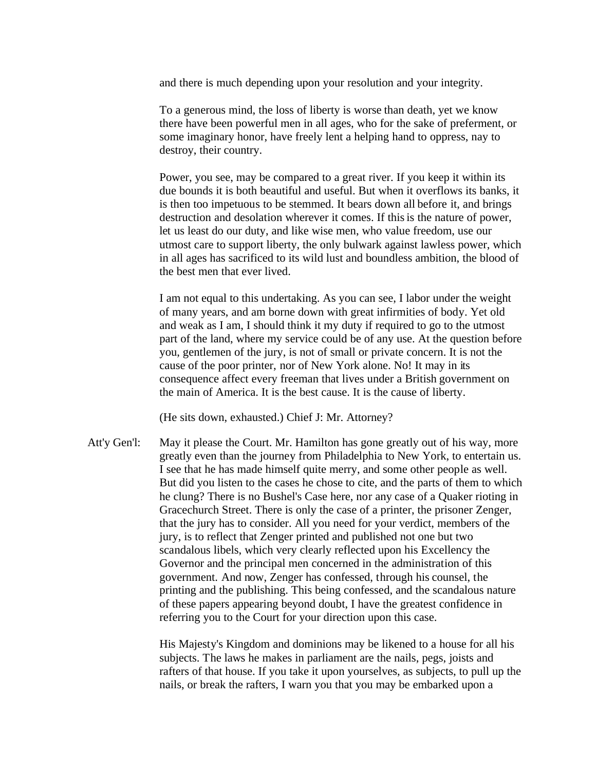and there is much depending upon your resolution and your integrity.

To a generous mind, the loss of liberty is worse than death, yet we know there have been powerful men in all ages, who for the sake of preferment, or some imaginary honor, have freely lent a helping hand to oppress, nay to destroy, their country.

Power, you see, may be compared to a great river. If you keep it within its due bounds it is both beautiful and useful. But when it overflows its banks, it is then too impetuous to be stemmed. It bears down all before it, and brings destruction and desolation wherever it comes. If this is the nature of power, let us least do our duty, and like wise men, who value freedom, use our utmost care to support liberty, the only bulwark against lawless power, which in all ages has sacrificed to its wild lust and boundless ambition, the blood of the best men that ever lived.

I am not equal to this undertaking. As you can see, I labor under the weight of many years, and am borne down with great infirmities of body. Yet old and weak as I am, I should think it my duty if required to go to the utmost part of the land, where my service could be of any use. At the question before you, gentlemen of the jury, is not of small or private concern. It is not the cause of the poor printer, nor of New York alone. No! It may in its consequence affect every freeman that lives under a British government on the main of America. It is the best cause. It is the cause of liberty.

(He sits down, exhausted.) Chief J: Mr. Attorney?

Att'y Gen'l: May it please the Court. Mr. Hamilton has gone greatly out of his way, more greatly even than the journey from Philadelphia to New York, to entertain us. I see that he has made himself quite merry, and some other people as well. But did you listen to the cases he chose to cite, and the parts of them to which he clung? There is no Bushel's Case here, nor any case of a Quaker rioting in Gracechurch Street. There is only the case of a printer, the prisoner Zenger, that the jury has to consider. All you need for your verdict, members of the jury, is to reflect that Zenger printed and published not one but two scandalous libels, which very clearly reflected upon his Excellency the Governor and the principal men concerned in the administration of this government. And now, Zenger has confessed, through his counsel, the printing and the publishing. This being confessed, and the scandalous nature of these papers appearing beyond doubt, I have the greatest confidence in referring you to the Court for your direction upon this case.

> His Majesty's Kingdom and dominions may be likened to a house for all his subjects. The laws he makes in parliament are the nails, pegs, joists and rafters of that house. If you take it upon yourselves, as subjects, to pull up the nails, or break the rafters, I warn you that you may be embarked upon a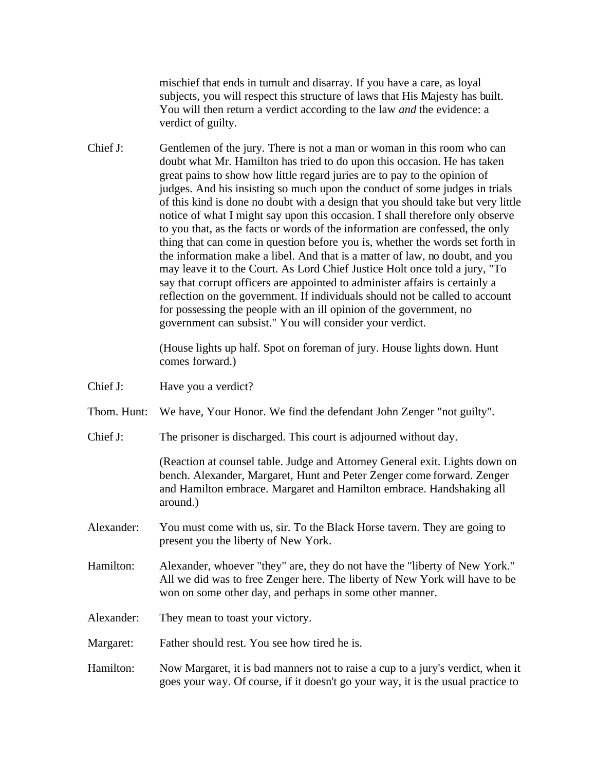mischief that ends in tumult and disarray. If you have a care, as loyal subjects, you will respect this structure of laws that His Majesty has built. You will then return a verdict according to the law *and* the evidence: a verdict of guilty.

Chief J: Gentlemen of the jury. There is not a man or woman in this room who can doubt what Mr. Hamilton has tried to do upon this occasion. He has taken great pains to show how little regard juries are to pay to the opinion of judges. And his insisting so much upon the conduct of some judges in trials of this kind is done no doubt with a design that you should take but very little notice of what I might say upon this occasion. I shall therefore only observe to you that, as the facts or words of the information are confessed, the only thing that can come in question before you is, whether the words set forth in the information make a libel. And that is a matter of law, no doubt, and you may leave it to the Court. As Lord Chief Justice Holt once told a jury, "To say that corrupt officers are appointed to administer affairs is certainly a reflection on the government. If individuals should not be called to account for possessing the people with an ill opinion of the government, no government can subsist." You will consider your verdict.

> (House lights up half. Spot on foreman of jury. House lights down. Hunt comes forward.)

- Chief J: Have you a verdict?
- Thom. Hunt: We have, Your Honor. We find the defendant John Zenger "not guilty".
- Chief J: The prisoner is discharged. This court is adjourned without day.

(Reaction at counsel table. Judge and Attorney General exit. Lights down on bench. Alexander, Margaret, Hunt and Peter Zenger come forward. Zenger and Hamilton embrace. Margaret and Hamilton embrace. Handshaking all around.)

- Alexander: You must come with us, sir. To the Black Horse tavern. They are going to present you the liberty of New York.
- Hamilton: Alexander, whoever "they" are, they do not have the "liberty of New York." All we did was to free Zenger here. The liberty of New York will have to be won on some other day, and perhaps in some other manner.
- Alexander: They mean to toast your victory.
- Margaret: Father should rest. You see how tired he is.
- Hamilton: Now Margaret, it is bad manners not to raise a cup to a jury's verdict, when it goes your way. Of course, if it doesn't go your way, it is the usual practice to